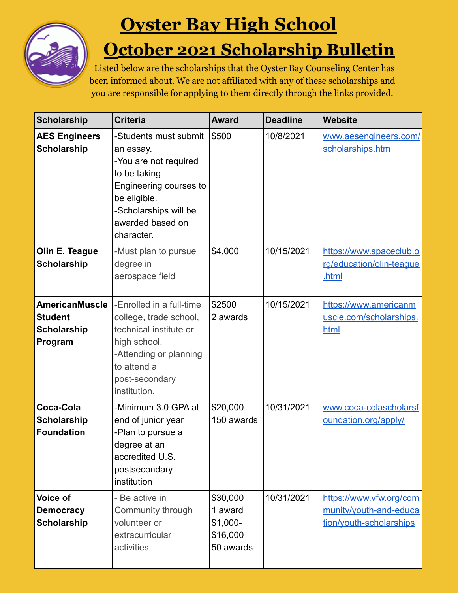

## **Oyster Bay High School**

## **October 2021 Scholarship Bulletin**

Listed below are the scholarships that the Oyster Bay Counseling Center has been informed about. We are not affiliated with any of these scholarships and you are responsible for applying to them directly through the links provided.

| <b>Scholarship</b>                                                       | <b>Criteria</b>                                                                                                                                                                  | <b>Award</b>                                              | <b>Deadline</b> | Website                                                                      |
|--------------------------------------------------------------------------|----------------------------------------------------------------------------------------------------------------------------------------------------------------------------------|-----------------------------------------------------------|-----------------|------------------------------------------------------------------------------|
| <b>AES Engineers</b><br><b>Scholarship</b>                               | -Students must submit<br>an essay.<br>-You are not required<br>to be taking<br>Engineering courses to<br>be eligible.<br>-Scholarships will be<br>awarded based on<br>character. | \$500                                                     | 10/8/2021       | www.aesengineers.com/<br>scholarships.htm                                    |
| Olin E. Teague<br><b>Scholarship</b>                                     | -Must plan to pursue<br>degree in<br>aerospace field                                                                                                                             | \$4,000                                                   | 10/15/2021      | https://www.spaceclub.o<br>rg/education/olin-teaque<br>.html                 |
| <b>AmericanMuscle</b><br><b>Student</b><br><b>Scholarship</b><br>Program | -Enrolled in a full-time<br>college, trade school,<br>technical institute or<br>high school.<br>-Attending or planning<br>to attend a<br>post-secondary<br>institution.          | \$2500<br>2 awards                                        | 10/15/2021      | https://www.americanm<br>uscle.com/scholarships.<br>html                     |
| Coca-Cola<br><b>Scholarship</b><br><b>Foundation</b>                     | -Minimum 3.0 GPA at<br>end of junior year<br>-Plan to pursue a<br>degree at an<br>accredited U.S.<br>postsecondary<br>institution                                                | \$20,000<br>150 awards                                    | 10/31/2021      | www.coca-colascholarsf<br>oundation.org/apply/                               |
| Voice of<br><b>Democracy</b><br><b>Scholarship</b>                       | - Be active in<br>Community through<br>volunteer or<br>extracurricular<br>activities                                                                                             | \$30,000<br>1 award<br>$$1,000-$<br>\$16,000<br>50 awards | 10/31/2021      | https://www.vfw.org/com<br>munity/youth-and-educa<br>tion/youth-scholarships |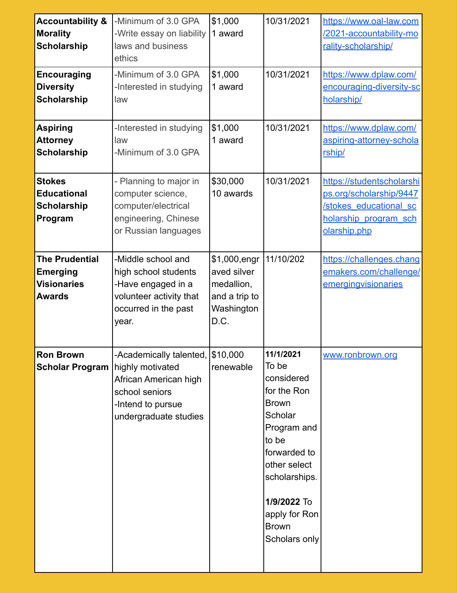| <b>Accountability &amp;</b><br><b>Morality</b><br><b>Scholarship</b><br><b>Encouraging</b> | -Minimum of 3.0 GPA<br>-Write essay on liability<br>laws and business<br>ethics<br>-Minimum of 3.0 GPA                                        | \$1,000<br>1 award<br>\$1,000                                                     | 10/31/2021<br>10/31/2021                                                                                                                                                                                             | https://www.oal-law.com<br>/2021-accountability-mo<br>rality-scholarship/<br>https://www.dplaw.com/                            |
|--------------------------------------------------------------------------------------------|-----------------------------------------------------------------------------------------------------------------------------------------------|-----------------------------------------------------------------------------------|----------------------------------------------------------------------------------------------------------------------------------------------------------------------------------------------------------------------|--------------------------------------------------------------------------------------------------------------------------------|
| <b>Diversity</b><br><b>Scholarship</b>                                                     | -Interested in studying<br>law                                                                                                                | 1 award                                                                           |                                                                                                                                                                                                                      | encouraging-diversity-sc<br>holarship/                                                                                         |
| <b>Aspiring</b><br><b>Attorney</b><br><b>Scholarship</b>                                   | -Interested in studying<br>law<br>-Minimum of 3.0 GPA                                                                                         | \$1,000<br>1 award                                                                | 10/31/2021                                                                                                                                                                                                           | https://www.dplaw.com/<br>aspiring-attorney-schola<br>rship/                                                                   |
| <b>Stokes</b><br><b>Educational</b><br><b>Scholarship</b><br>Program                       | - Planning to major in<br>computer science,<br>computer/electrical<br>engineering, Chinese<br>or Russian languages                            | \$30,000<br>10 awards                                                             | 10/31/2021                                                                                                                                                                                                           | https://studentscholarshi<br>ps.org/scholarship/9447<br><b>/stokes educational sc</b><br>holarship program sch<br>olarship.php |
| <b>The Prudential</b><br><b>Emerging</b><br><b>Visionaries</b><br><b>Awards</b>            | -Middle school and<br>high school students<br>-Have engaged in a<br>volunteer activity that<br>occurred in the past<br>year.                  | \$1,000, engr<br>aved silver<br>medallion,<br>and a trip to<br>Washington<br>D.C. | 11/10/202                                                                                                                                                                                                            | https://challenges.chang<br>emakers.com/challenge/<br>emergingvisionaries                                                      |
| <b>Ron Brown</b><br><b>Scholar Program</b>                                                 | -Academically talented, \$10,000<br>highly motivated<br>African American high<br>school seniors<br>-Intend to pursue<br>undergraduate studies | renewable                                                                         | 11/1/2021<br>To be<br>considered<br>for the Ron<br><b>Brown</b><br>Scholar<br>Program and<br>to be<br>forwarded to<br>other select<br>scholarships.<br>1/9/2022 To<br>apply for Ron<br><b>Brown</b><br>Scholars only | www.ronbrown.org                                                                                                               |